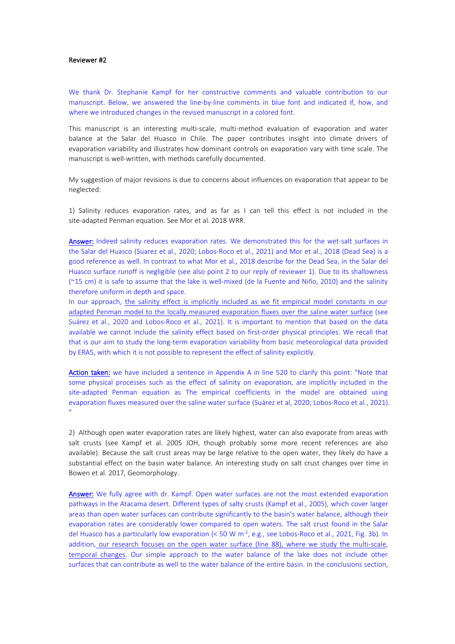#### Reviewer #2

We thank Dr. Stephanie Kampf for her constructive comments and valuable contribution to our manuscript. Below, we answered the line-by-line comments in blue font and indicated if, how, and where we introduced changes in the revised manuscript in a colored font.

This manuscript is an interesting multi-scale, multi-method evaluation of evaporation and water balance at the Salar del Huasco in Chile. The paper contributes insight into climate drivers of evaporation variability and illustrates how dominant controls on evaporation vary with time scale. The manuscript is well-written, with methods carefully documented.

My suggestion of major revisions is due to concerns about influences on evaporation that appear to be neglected:

1) Salinity reduces evaporation rates, and as far as Ican tell this effect is not included in the site-adapted Penman equation. See Mor et al. 2018 WRR.

Answer: Indeed salinity reduces evaporation rates. We demonstrated this for the wet-salt surfaces in the Salar del Huasco (Suarez et al., 2020; Lobos-Roco et al., 2021) and Mor et al., 2018 (Dead Sea) is a good reference as well. In contrast to what Mor et al., 2018 describe for the Dead Sea, in the Salar del Huasco surface runoff is negligible (see also point 2 to our reply of reviewer 1). Due to its shallowness (~15 cm) it is safe to assume that the lake is well-mixed (de la Fuente and Niño, 2010) and the salinity therefore uniform in depth and space.

In our approach, the salinity effect is implicitly included as we fit empirical model constants in our adapted Penman model to the locally measured evaporation fluxes over the saline water surface (see Suárez et al., 2020 and Lobos-Roco et al., 2021). It is important to mention that based on the data available we cannot include the salinity effect based on first-order physical principles. We recall that that is our aim to study the long-term evaporation variability from basic meteorological data provided by ERA5, with which it is not possible to represent the effect of salinity explicitly.

Action taken: we have included a sentence in Appendix A in line 520 to clarify this point: "Note that some physical processes such as the effect of salinity on evaporation, are implicitly included in the site-adapted Penman equation as The empirical coefficients in the model are obtained using evaporation fluxes measured over the saline water surface (Suárez et al, 2020; Lobos-Roco et al., 2021).<br>"<br>2) Although open water evaporation rates are likely highest, water can also evaporate from areas with

salt crusts (see Kampf et al. 2005 JOH, though probably some more recent references are also available). Because the salt crust areas may be large relative to the open water, they likely do have a substantial effect on the basin water balance. An interesting study on salt crust changes over time in Bowen et al. 2017, Geomorphology.

Answer: We fully agree with dr. Kampf. Open water surfaces are not the most extended evaporation pathways in the Atacama desert. Different types of salty crusts (Kampf et al., 2005), which cover larger areas than open water surfaces can contribute significantly to the basin's water balance, although their evaporation rates are considerably lower compared to open waters. The salt crust found in the Salar del Huasco has a particularly low evaporation (< 50 W m<sup>-2</sup>, e.g., see Lobos-Roco et al., 2021, Fig. 3b). In addition, our research focuses on the open water surface (line 88), where we study the multi-scale, temporal changes. Our simple approach to the water balance of the lake does not include other surfaces that can contribute as well to the water balance of the entire basin. In the conclusions section,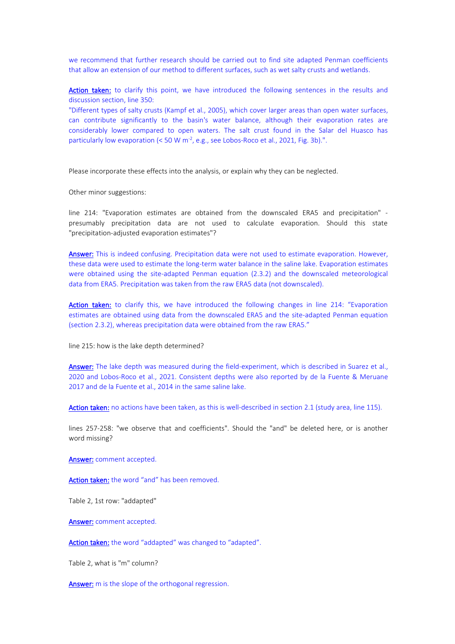we recommend that further research should be carried out to find site adapted Penman coefficients that allow an extension of our method to different surfaces, such as wet salty crusts and wetlands.

Action taken: to clarify this point, we have introduced the following sentences in the results and discussion section, line 350:

"Different types of salty crusts (Kampf et al., 2005), which cover larger areas than open water surfaces, can contribute significantly to the basin's water balance, although their evaporation rates are considerably lower compared to open waters. The salt crust found in the Salar del Huasco has particularly low evaporation  $\left($  < 50 W m<sup>-2</sup>, e.g., see Lobos-Roco et al., 2021, Fig. 3b).".

Please incorporate these effects into the analysis, or explain why they can be neglected.

Other minor suggestions:

line 214: "Evaporation estimates are obtained from the downscaled ERA5 and precipitation" presumably precipitation data are not used to calculate evaporation. Should this state "precipitation-adjusted evaporation estimates"?

Answer: This is indeed confusing. Precipitation data were not used to estimate evaporation. However, these data were used to estimate the long-term water balance in the saline lake. Evaporation estimates were obtained using the site-adapted Penman equation (2.3.2) and the downscaled meteorological data from ERA5. Precipitation was taken from the raw ERA5 data(not downscaled).

Action taken: to clarify this, we have introduced the following changes in line 214: "Evaporation estimates are obtained using data from the downscaled ERA5 and the site-adapted Penman equation (section 2.3.2), whereas precipitation data were obtained from the raw ERA5."

line 215: how is the lake depth determined?

Answer: The lake depth was measured during the field-experiment, which is described in Suarez et al., 2020 and Lobos-Roco et al., 2021. Consistent depths were also reported by de la Fuente & Meruane 2017 and de la Fuente et al., 2014 in the same saline lake.

Action taken: no actions have been taken, as this is well-described in section 2.1 (study area, line 115).

lines 257-258: "we observe that and coefficients". Should the "and" be deleted here, or is another word missing?

Answer: comment accepted.

Action taken: the word "and" has been removed.

Table 2, 1st row: "addapted"

Answer: comment accepted.

Action taken: the word "addapted" was changed to "adapted".

Table 2, what is "m" column?

Answer: m is the slope of the orthogonal regression.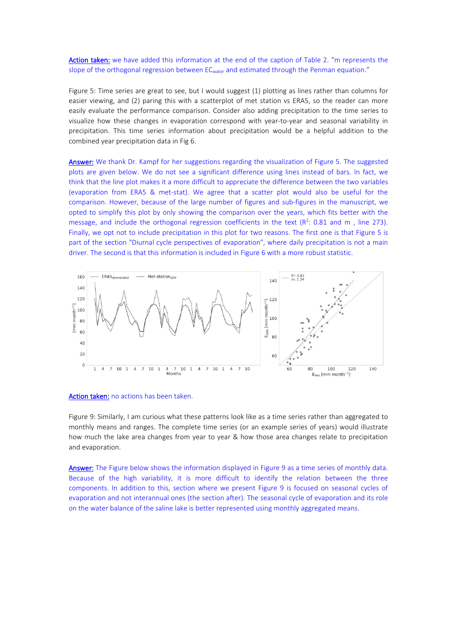# Action taken: we have added this information at the end of the caption of Table 2. "m represents the slope of the orthogonal regression between EC<sub>water</sub> and estimated through the Penman equation."

Figure 5: Time series are great to see, but I would suggest (1) plotting as lines rather than columns for easier viewing, and (2) paring this with a scatterplot of met station vs ERA5, so the reader can more easily evaluate the performance comparison. Consider also adding precipitation to the time series to visualize how these changes in evaporation correspond with year-to-year and seasonal variability in precipitation. This time series information about precipitation would be a helpful addition to the combined year precipitation data in Fig 6.

Answer: We thank Dr. Kampf for her suggestions regarding the visualization of Figure 5. The suggested plots are given below. We do not see a significant difference using lines instead of bars. In fact, we think that the line plot makes it a more difficult to appreciate the difference between the two variables (evaporation from ERA5 & met-stat). We agree that a scatter plot would also be useful for the comparison. However, because of the large number of figures and sub-figures in the manuscript, we opted to simplify this plot by only showing the comparison over the years, which fits better with the message, and include the orthogonal regression coefficients in the text ( $R^2$ : 0.81 and m, line 273). Finally, we opt not to include precipitation in this plot for two reasons. The first one is that Figure 5 is part of the section "Diurnal cycle perspectives of evaporation", where daily precipitation is not a main driver. The second is that this information is included in Figure 6 with a more robust statistic.



#### Action taken: no actions has been taken.

Figure 9: Similarly, I am curious what these patterns look like as a time series rather than aggregated to monthly means and ranges. The complete time series (or an example series of years) would illustrate how much the lake area changes from year to year & how those area changes relate to precipitation and evaporation.

Answer: The Figure below shows the information displayed in Figure 9 as a time series of monthly data. Because of the high variability, it is more difficult to identify the relation between the three components. In addition to this, section where we present Figure 9 is focused on seasonal cycles of evaporation and not interannual ones (the section after). The seasonal cycle of evaporation and its role on the water balance of the saline lake is better represented using monthly aggregated means.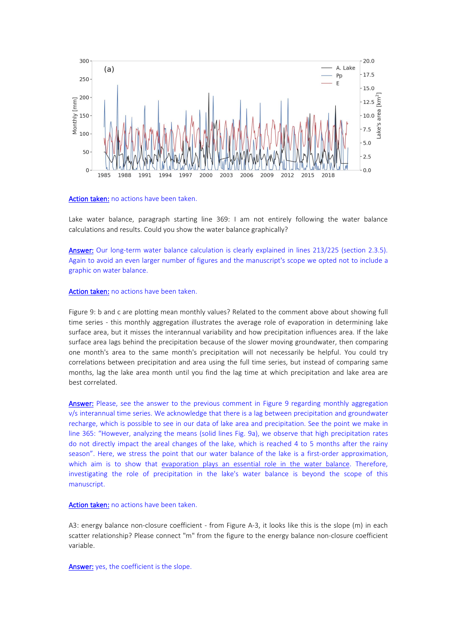

#### Action taken: no actions have been taken.

Lake water balance, paragraph starting line 369: I am not entirely following the water balance calculations and results. Could you show the water balance graphically?

Answer: Our long-term water balance calculation is clearly explained in lines 213/225 (section 2.3.5). Again to avoid an even larger number of figures and the manuscript's scope we opted not to include a graphic on water balance.

### Action taken: no actions have been taken.

Figure 9: b and c are plotting mean monthly values? Related to the comment above about showing full time series - this monthly aggregation illustrates the average role of evaporation in determining lake surface area, but it misses the interannual variability and how precipitation influences area. If the lake surface area lags behind the precipitation because of the slower moving groundwater, then comparing one month's area to the same month's precipitation will not necessarily be helpful. You could try correlations between precipitation and area using the full time series, but instead of comparing same months, lag the lake area month until you find the lag time at which precipitation and lake area are best correlated.

Answer: Please, see the answer to the previous comment in Figure 9 regarding monthly aggregation v/s interannual time series. We acknowledge that there is a lag between precipitation and groundwater recharge, which is possible to see in our data of lake area and precipitation. See the point we make in line 365: "However, analyzing the means (solid lines Fig. 9a), we observe that high precipitation rates do not directly impact the areal changes of the lake, which is reached 4 to 5 months after the rainy season". Here, we stress the point that our water balance of the lake is a first-order approximation, which aim is to show that evaporation plays an essential role in the water balance. Therefore, investigating the role of precipitation in the lake's water balance is beyond the scope of this manuscript.

## Action taken: no actions have been taken.

A3: energy balance non-closure coefficient - from Figure A-3, it looks like this is the slope (m) in each scatter relationship? Please connect "m" from the figure to the energy balance non-closure coefficient variable.

Answer: yes, the coefficient is the slope.